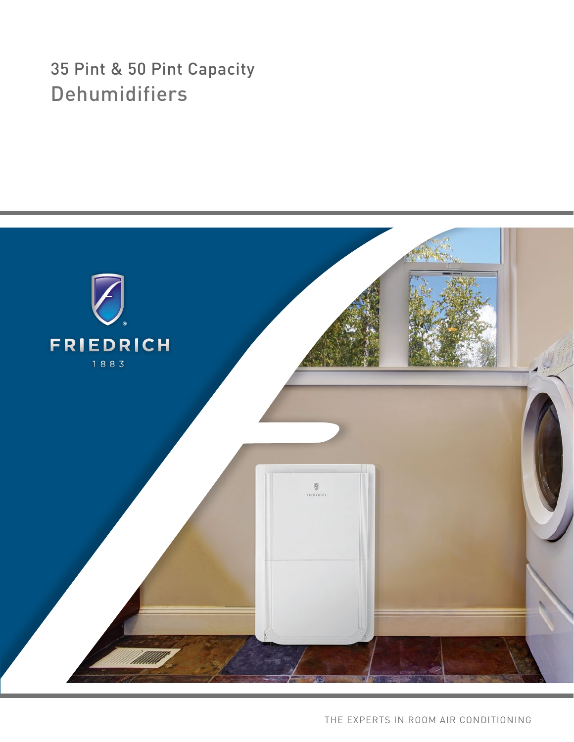# 35 Pint & 50 Pint Capacity Dehumidifiers